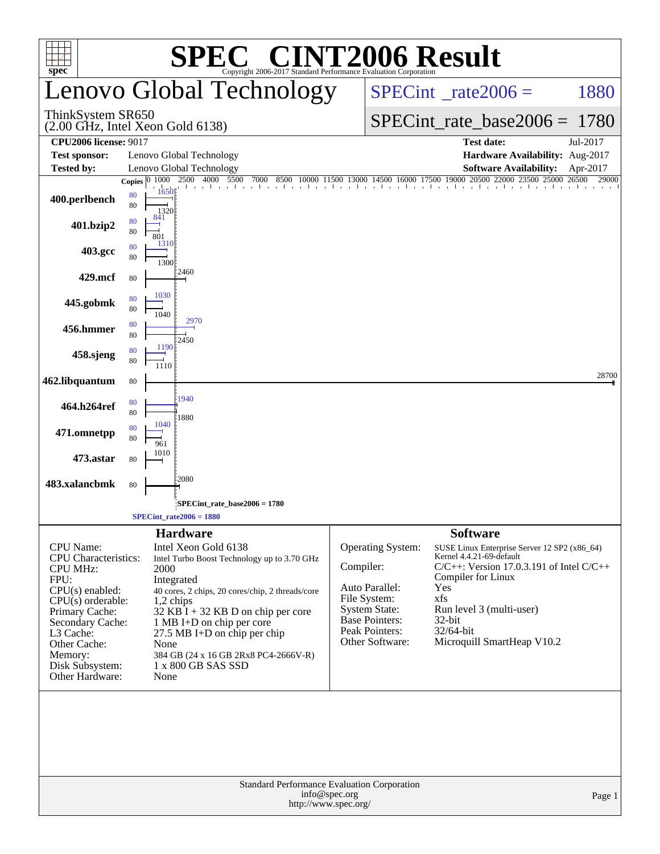|                                                                         |                    | SPE                                                           | <b>C® CINT2006 Result</b><br>Copyright 2006-2017 Standard Performance Evaluation Corporation |                                       |                                         |                     |                                                                                                                                                                                                                                                                                                   |                   |
|-------------------------------------------------------------------------|--------------------|---------------------------------------------------------------|----------------------------------------------------------------------------------------------|---------------------------------------|-----------------------------------------|---------------------|---------------------------------------------------------------------------------------------------------------------------------------------------------------------------------------------------------------------------------------------------------------------------------------------------|-------------------|
| $spec^{\circ}$                                                          |                    | Lenovo Global Technology                                      | $SPECint^{\circ}$ _rate2006 =                                                                |                                       |                                         | 1880                |                                                                                                                                                                                                                                                                                                   |                   |
| ThinkSystem SR650<br>$(2.00 \text{ GHz}, \text{Intel Xeon Gold } 6138)$ |                    |                                                               |                                                                                              |                                       | $SPECint_rate_base2006 = 1780$          |                     |                                                                                                                                                                                                                                                                                                   |                   |
| <b>CPU2006 license: 9017</b>                                            |                    |                                                               |                                                                                              |                                       |                                         |                     | <b>Test date:</b>                                                                                                                                                                                                                                                                                 | Jul-2017          |
| <b>Test sponsor:</b>                                                    |                    | Lenovo Global Technology                                      |                                                                                              |                                       |                                         |                     | Hardware Availability: Aug-2017                                                                                                                                                                                                                                                                   |                   |
| <b>Tested by:</b>                                                       | Copies $ 0, 1000 $ | Lenovo Global Technology<br>2500 4000 5500                    | 7000<br>8500                                                                                 |                                       |                                         |                     | <b>Software Availability:</b><br>$0\quad 10000\quad \overline{11500}\quad \overline{13000}\quad \overline{14500}\quad \overline{16000}\quad \overline{17500}\quad \overline{19000}\quad \overline{20500}\quad \overline{22000}\quad \overline{23500}\quad \overline{25000}\quad \overline{26500}$ | Apr-2017<br>29000 |
| 400.perlbench                                                           | 80<br>80           | 1 a a 1 a a 1 a a 1 a a 1<br>1650<br>1320                     |                                                                                              |                                       |                                         |                     |                                                                                                                                                                                                                                                                                                   |                   |
| 401.bzip2                                                               | 80<br>80           | 841<br>801<br>1310                                            |                                                                                              |                                       |                                         |                     |                                                                                                                                                                                                                                                                                                   |                   |
| 403.gcc                                                                 | 80<br>80           | 1300<br>:2460                                                 |                                                                                              |                                       |                                         |                     |                                                                                                                                                                                                                                                                                                   |                   |
| 429.mcf                                                                 | 80                 |                                                               |                                                                                              |                                       |                                         |                     |                                                                                                                                                                                                                                                                                                   |                   |
| 445.gobmk                                                               | 80<br>80           | 1030<br>1040                                                  |                                                                                              |                                       |                                         |                     |                                                                                                                                                                                                                                                                                                   |                   |
| 456.hmmer                                                               | 80<br>80           | 2970<br>2450                                                  |                                                                                              |                                       |                                         |                     |                                                                                                                                                                                                                                                                                                   |                   |
| 458.sjeng                                                               | 80<br>80           | 1190<br>1110                                                  |                                                                                              |                                       |                                         |                     |                                                                                                                                                                                                                                                                                                   |                   |
| 462.libquantum                                                          | 80                 |                                                               |                                                                                              |                                       |                                         |                     |                                                                                                                                                                                                                                                                                                   | 28700             |
| 464.h264ref                                                             | 80<br>80           | 1940<br>1880                                                  |                                                                                              |                                       |                                         |                     |                                                                                                                                                                                                                                                                                                   |                   |
| 471.omnetpp                                                             | 80<br>80           | 1040<br>961                                                   |                                                                                              |                                       |                                         |                     |                                                                                                                                                                                                                                                                                                   |                   |
| 473.astar                                                               | 80                 | 1010                                                          |                                                                                              |                                       |                                         |                     |                                                                                                                                                                                                                                                                                                   |                   |
| 483.xalancbmk                                                           | 80                 | 2080                                                          |                                                                                              |                                       |                                         |                     |                                                                                                                                                                                                                                                                                                   |                   |
|                                                                         |                    | $SPECint_rate_base2006 = 1780$<br>$SPECint\_rate2006 = 1880$  |                                                                                              |                                       |                                         |                     |                                                                                                                                                                                                                                                                                                   |                   |
|                                                                         |                    | <b>Hardware</b>                                               |                                                                                              |                                       |                                         | <b>Software</b>     |                                                                                                                                                                                                                                                                                                   |                   |
| <b>CPU</b> Name:                                                        |                    | Intel Xeon Gold 6138                                          |                                                                                              |                                       | Operating System:                       |                     | SUSE Linux Enterprise Server 12 SP2 (x86_64)                                                                                                                                                                                                                                                      |                   |
| <b>CPU</b> Characteristics:<br><b>CPU MHz:</b>                          |                    | Intel Turbo Boost Technology up to 3.70 GHz<br>2000           |                                                                                              | Compiler:                             |                                         |                     | Kernel 4.4.21-69-default<br>$C/C++$ : Version 17.0.3.191 of Intel $C/C++$                                                                                                                                                                                                                         |                   |
| FPU:                                                                    |                    | Integrated                                                    |                                                                                              |                                       |                                         | Compiler for Linux  |                                                                                                                                                                                                                                                                                                   |                   |
| $CPU(s)$ enabled:<br>$CPU(s)$ orderable:                                |                    | 40 cores, 2 chips, 20 cores/chip, 2 threads/core<br>1,2 chips |                                                                                              |                                       | Auto Parallel:<br>File System:          | Yes<br>xfs          |                                                                                                                                                                                                                                                                                                   |                   |
| Primary Cache:                                                          |                    | 32 KB $\overline{I}$ + 32 KB D on chip per core               |                                                                                              |                                       | System State:                           |                     | Run level 3 (multi-user)                                                                                                                                                                                                                                                                          |                   |
| Secondary Cache:<br>L3 Cache:                                           |                    | 1 MB I+D on chip per core<br>27.5 MB I+D on chip per chip     |                                                                                              |                                       | <b>Base Pointers:</b><br>Peak Pointers: | 32-bit<br>32/64-bit |                                                                                                                                                                                                                                                                                                   |                   |
| Other Cache:                                                            |                    | None                                                          |                                                                                              |                                       | Other Software:                         |                     | Microquill SmartHeap V10.2                                                                                                                                                                                                                                                                        |                   |
| Memory:                                                                 |                    | 384 GB (24 x 16 GB 2Rx8 PC4-2666V-R)<br>1 x 800 GB SAS SSD    |                                                                                              |                                       |                                         |                     |                                                                                                                                                                                                                                                                                                   |                   |
| Disk Subsystem:<br>Other Hardware:                                      |                    | None                                                          |                                                                                              |                                       |                                         |                     |                                                                                                                                                                                                                                                                                                   |                   |
|                                                                         |                    |                                                               |                                                                                              |                                       |                                         |                     |                                                                                                                                                                                                                                                                                                   |                   |
|                                                                         |                    |                                                               | Standard Performance Evaluation Corporation                                                  | info@spec.org<br>http://www.spec.org/ |                                         |                     |                                                                                                                                                                                                                                                                                                   | Page 1            |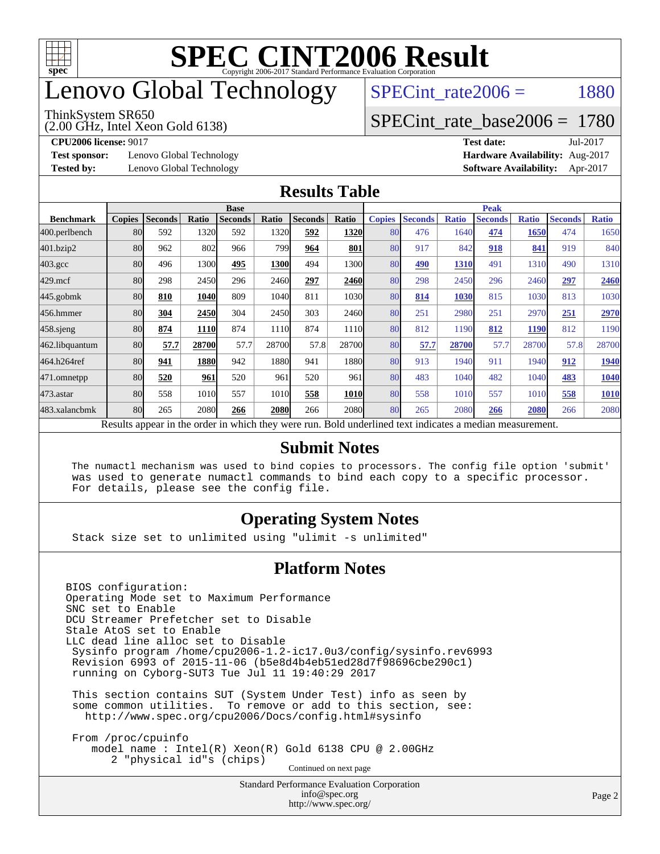

## enovo Global Technology

#### ThinkSystem SR650

(2.00 GHz, Intel Xeon Gold 6138)

SPECint rate $2006 = 1880$ 

#### [SPECint\\_rate\\_base2006 =](http://www.spec.org/auto/cpu2006/Docs/result-fields.html#SPECintratebase2006) 1780

**[Test sponsor:](http://www.spec.org/auto/cpu2006/Docs/result-fields.html#Testsponsor)** Lenovo Global Technology **[Hardware Availability:](http://www.spec.org/auto/cpu2006/Docs/result-fields.html#HardwareAvailability)** Aug-2017

**[CPU2006 license:](http://www.spec.org/auto/cpu2006/Docs/result-fields.html#CPU2006license)** 9017 **[Test date:](http://www.spec.org/auto/cpu2006/Docs/result-fields.html#Testdate)** Jul-2017 **[Tested by:](http://www.spec.org/auto/cpu2006/Docs/result-fields.html#Testedby)** Lenovo Global Technology **[Software Availability:](http://www.spec.org/auto/cpu2006/Docs/result-fields.html#SoftwareAvailability)** Apr-2017

#### **[Results Table](http://www.spec.org/auto/cpu2006/Docs/result-fields.html#ResultsTable)**

|                                                                                                          | <b>Base</b>   |                |       |                |       |                |             | <b>Peak</b>   |                |              |                |              |                |              |
|----------------------------------------------------------------------------------------------------------|---------------|----------------|-------|----------------|-------|----------------|-------------|---------------|----------------|--------------|----------------|--------------|----------------|--------------|
| <b>Benchmark</b>                                                                                         | <b>Copies</b> | <b>Seconds</b> | Ratio | <b>Seconds</b> | Ratio | <b>Seconds</b> | Ratio       | <b>Copies</b> | <b>Seconds</b> | <b>Ratio</b> | <b>Seconds</b> | <b>Ratio</b> | <b>Seconds</b> | <b>Ratio</b> |
| 400.perlbench                                                                                            | 80            | 592            | 1320  | 592            | 1320  | 592            | 1320        | 80            | 476            | 1640         | 474            | 1650         | 474            | 1650         |
| 401.bzip2                                                                                                | 80            | 962            | 802   | 966            | 799   | 964            | 801         | 80            | 917            | 842          | 918            | 841          | 919            | 840          |
| $403.\mathrm{gcc}$                                                                                       | 80            | 496            | 1300  | 495            | 1300  | 494            | 1300l       | 80            | 490            | 1310         | 491            | 1310         | 490            | 1310         |
| $429$ .mcf                                                                                               | 80            | 298            | 2450  | 296            | 2460  | 297            | 2460        | 80            | 298            | 2450         | 296            | 2460         | 297            | 2460         |
| $445$ .gobmk                                                                                             | 80            | 810            | 1040  | 809            | 1040  | 811            | 1030        | 80            | 814            | 1030         | 815            | 1030         | 813            | 1030         |
| 456.hmmer                                                                                                | 80            | 304            | 2450  | 304            | 2450  | 303            | 2460l       | 80            | 251            | 2980         | 251            | 2970         | 251            | 2970         |
| $458$ .sjeng                                                                                             | 80            | 874            | 1110  | 874            | 1110  | 874            | 1110        | 80            | 812            | 1190         | 812            | <b>1190</b>  | 812            | 1190         |
| 462.libquantum                                                                                           | 80            | 57.7           | 28700 | 57.7           | 28700 | 57.8           | 28700       | 80            | 57.7           | 28700        | 57.7           | 28700        | 57.8           | 28700        |
| 464.h264ref                                                                                              | 80            | 941            | 1880  | 942            | 1880  | 941            | 1880l       | 80            | 913            | 1940         | 911            | 1940         | 912            | 1940         |
| 471.omnetpp                                                                                              | 80            | 520            | 961   | 520            | 961   | 520            | 961         | 80            | 483            | 1040         | 482            | 1040         | 483            | <b>1040</b>  |
| $473$ . astar                                                                                            | 80            | 558            | 1010  | 557            | 1010  | 558            | <b>1010</b> | 80            | 558            | 1010         | 557            | 1010         | 558            | 1010         |
| 483.xalancbmk                                                                                            | 80            | 265            | 2080  | 266            | 2080  | 266            | 2080l       | 80            | 265            | 2080         | 266            | 2080         | 266            | 2080         |
| Results appear in the order in which they were run. Bold underlined text indicates a median measurement. |               |                |       |                |       |                |             |               |                |              |                |              |                |              |

#### **[Submit Notes](http://www.spec.org/auto/cpu2006/Docs/result-fields.html#SubmitNotes)**

 The numactl mechanism was used to bind copies to processors. The config file option 'submit' was used to generate numactl commands to bind each copy to a specific processor. For details, please see the config file.

#### **[Operating System Notes](http://www.spec.org/auto/cpu2006/Docs/result-fields.html#OperatingSystemNotes)**

Stack size set to unlimited using "ulimit -s unlimited"

#### **[Platform Notes](http://www.spec.org/auto/cpu2006/Docs/result-fields.html#PlatformNotes)**

BIOS configuration: Operating Mode set to Maximum Performance SNC set to Enable DCU Streamer Prefetcher set to Disable Stale AtoS set to Enable LLC dead line alloc set to Disable Sysinfo program /home/cpu2006-1.2-ic17.0u3/config/sysinfo.rev6993 Revision 6993 of 2015-11-06 (b5e8d4b4eb51ed28d7f98696cbe290c1) running on Cyborg-SUT3 Tue Jul 11 19:40:29 2017 This section contains SUT (System Under Test) info as seen by some common utilities. To remove or add to this section, see: <http://www.spec.org/cpu2006/Docs/config.html#sysinfo> From /proc/cpuinfo model name : Intel(R) Xeon(R) Gold 6138 CPU @ 2.00GHz 2 "physical id"s (chips) Continued on next page

> Standard Performance Evaluation Corporation [info@spec.org](mailto:info@spec.org) <http://www.spec.org/>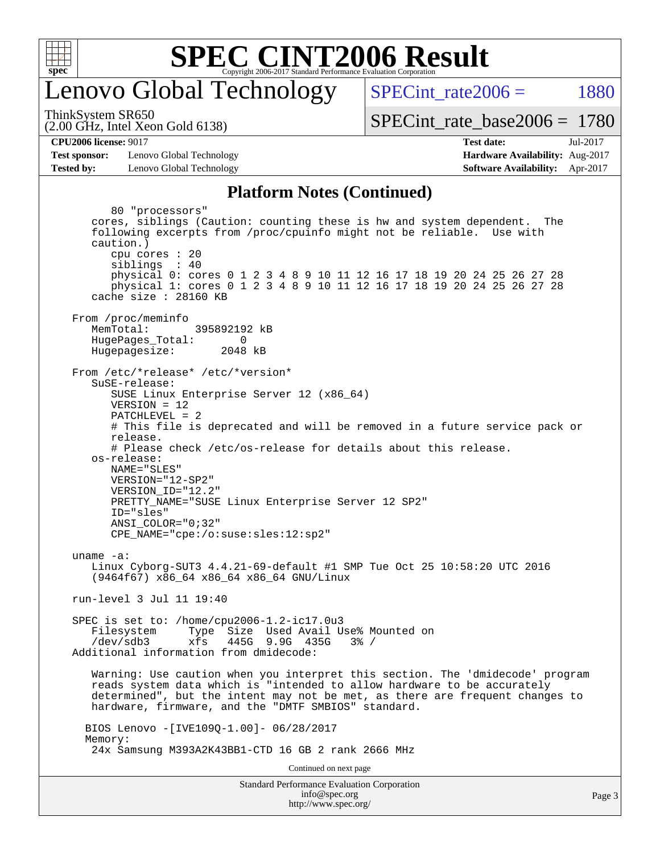

### enovo Global Technology

SPECint rate $2006 = 1880$ 

(2.00 GHz, Intel Xeon Gold 6138) ThinkSystem SR650

[SPECint\\_rate\\_base2006 =](http://www.spec.org/auto/cpu2006/Docs/result-fields.html#SPECintratebase2006) 1780

**[CPU2006 license:](http://www.spec.org/auto/cpu2006/Docs/result-fields.html#CPU2006license)** 9017 **[Test date:](http://www.spec.org/auto/cpu2006/Docs/result-fields.html#Testdate)** Jul-2017

**[Test sponsor:](http://www.spec.org/auto/cpu2006/Docs/result-fields.html#Testsponsor)** Lenovo Global Technology **[Hardware Availability:](http://www.spec.org/auto/cpu2006/Docs/result-fields.html#HardwareAvailability)** Aug-2017 **[Tested by:](http://www.spec.org/auto/cpu2006/Docs/result-fields.html#Testedby)** Lenovo Global Technology **[Software Availability:](http://www.spec.org/auto/cpu2006/Docs/result-fields.html#SoftwareAvailability)** Apr-2017

#### **[Platform Notes \(Continued\)](http://www.spec.org/auto/cpu2006/Docs/result-fields.html#PlatformNotes)**

Standard Performance Evaluation Corporation 80 "processors" cores, siblings (Caution: counting these is hw and system dependent. The following excerpts from /proc/cpuinfo might not be reliable. Use with caution.) cpu cores : 20 siblings : 40 physical 0: cores 0 1 2 3 4 8 9 10 11 12 16 17 18 19 20 24 25 26 27 28 physical 1: cores 0 1 2 3 4 8 9 10 11 12 16 17 18 19 20 24 25 26 27 28 cache size : 28160 KB From /proc/meminfo MemTotal: 395892192 kB HugePages\_Total: 0<br>Hugepagesize: 2048 kB Hugepagesize: From /etc/\*release\* /etc/\*version\* SuSE-release: SUSE Linux Enterprise Server 12 (x86\_64) VERSION = 12 PATCHLEVEL = 2 # This file is deprecated and will be removed in a future service pack or release. # Please check /etc/os-release for details about this release. os-release: NAME="SLES" VERSION="12-SP2" VERSION\_ID="12.2" PRETTY\_NAME="SUSE Linux Enterprise Server 12 SP2" ID="sles" ANSI\_COLOR="0;32" CPE\_NAME="cpe:/o:suse:sles:12:sp2" uname -a: Linux Cyborg-SUT3 4.4.21-69-default #1 SMP Tue Oct 25 10:58:20 UTC 2016 (9464f67) x86\_64 x86\_64 x86\_64 GNU/Linux run-level 3 Jul 11 19:40 SPEC is set to: /home/cpu2006-1.2-ic17.0u3 Filesystem Type Size Used Avail Use% Mounted on /dev/sdb3 xfs 445G 9.9G 435G 3% / Additional information from dmidecode: Warning: Use caution when you interpret this section. The 'dmidecode' program reads system data which is "intended to allow hardware to be accurately determined", but the intent may not be met, as there are frequent changes to hardware, firmware, and the "DMTF SMBIOS" standard. BIOS Lenovo -[IVE109Q-1.00]- 06/28/2017 Memory: 24x Samsung M393A2K43BB1-CTD 16 GB 2 rank 2666 MHz Continued on next page

[info@spec.org](mailto:info@spec.org) <http://www.spec.org/>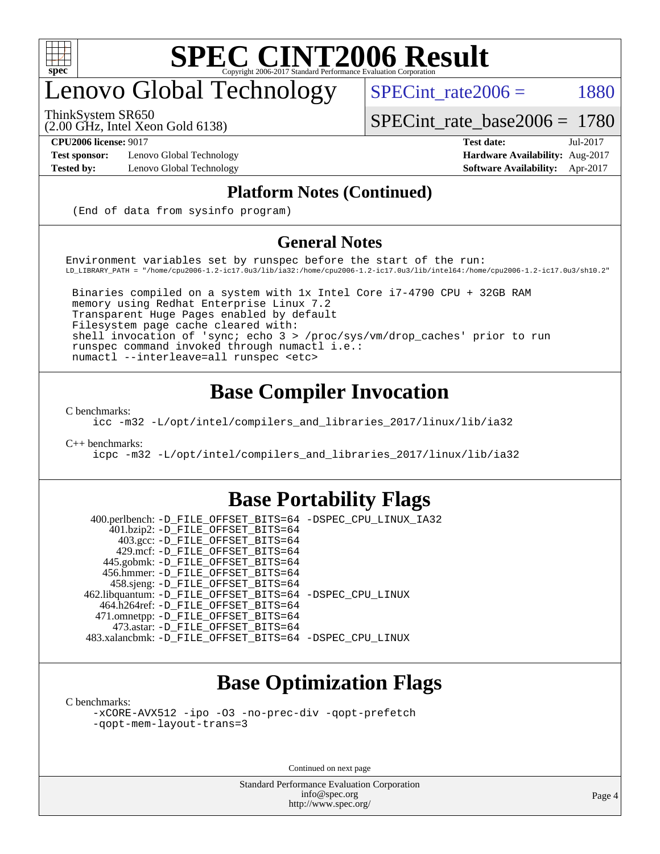

## enovo Global Technology

ThinkSystem SR650

(2.00 GHz, Intel Xeon Gold 6138)

**[Test sponsor:](http://www.spec.org/auto/cpu2006/Docs/result-fields.html#Testsponsor)** Lenovo Global Technology **[Hardware Availability:](http://www.spec.org/auto/cpu2006/Docs/result-fields.html#HardwareAvailability)** Aug-2017

[SPECint\\_rate\\_base2006 =](http://www.spec.org/auto/cpu2006/Docs/result-fields.html#SPECintratebase2006) 1780 **[CPU2006 license:](http://www.spec.org/auto/cpu2006/Docs/result-fields.html#CPU2006license)** 9017 **[Test date:](http://www.spec.org/auto/cpu2006/Docs/result-fields.html#Testdate)** Jul-2017

SPECint rate $2006 =$  1880

**[Tested by:](http://www.spec.org/auto/cpu2006/Docs/result-fields.html#Testedby)** Lenovo Global Technology **[Software Availability:](http://www.spec.org/auto/cpu2006/Docs/result-fields.html#SoftwareAvailability)** Apr-2017

#### **[Platform Notes \(Continued\)](http://www.spec.org/auto/cpu2006/Docs/result-fields.html#PlatformNotes)**

(End of data from sysinfo program)

#### **[General Notes](http://www.spec.org/auto/cpu2006/Docs/result-fields.html#GeneralNotes)**

Environment variables set by runspec before the start of the run: LD\_LIBRARY\_PATH = "/home/cpu2006-1.2-ic17.0u3/lib/ia32:/home/cpu2006-1.2-ic17.0u3/lib/intel64:/home/cpu2006-1.2-ic17.0u3/sh10.2"

 Binaries compiled on a system with 1x Intel Core i7-4790 CPU + 32GB RAM memory using Redhat Enterprise Linux 7.2 Transparent Huge Pages enabled by default Filesystem page cache cleared with: shell invocation of 'sync; echo 3 > /proc/sys/vm/drop\_caches' prior to run runspec command invoked through numactl i.e.: numactl --interleave=all runspec <etc>

### **[Base Compiler Invocation](http://www.spec.org/auto/cpu2006/Docs/result-fields.html#BaseCompilerInvocation)**

[C benchmarks](http://www.spec.org/auto/cpu2006/Docs/result-fields.html#Cbenchmarks):

[icc -m32 -L/opt/intel/compilers\\_and\\_libraries\\_2017/linux/lib/ia32](http://www.spec.org/cpu2006/results/res2017q4/cpu2006-20170918-49748.flags.html#user_CCbase_intel_icc_c29f3ff5a7ed067b11e4ec10a03f03ae)

[C++ benchmarks:](http://www.spec.org/auto/cpu2006/Docs/result-fields.html#CXXbenchmarks)

[icpc -m32 -L/opt/intel/compilers\\_and\\_libraries\\_2017/linux/lib/ia32](http://www.spec.org/cpu2006/results/res2017q4/cpu2006-20170918-49748.flags.html#user_CXXbase_intel_icpc_8c35c7808b62dab9ae41a1aa06361b6b)

#### **[Base Portability Flags](http://www.spec.org/auto/cpu2006/Docs/result-fields.html#BasePortabilityFlags)**

 400.perlbench: [-D\\_FILE\\_OFFSET\\_BITS=64](http://www.spec.org/cpu2006/results/res2017q4/cpu2006-20170918-49748.flags.html#user_basePORTABILITY400_perlbench_file_offset_bits_64_438cf9856305ebd76870a2c6dc2689ab) [-DSPEC\\_CPU\\_LINUX\\_IA32](http://www.spec.org/cpu2006/results/res2017q4/cpu2006-20170918-49748.flags.html#b400.perlbench_baseCPORTABILITY_DSPEC_CPU_LINUX_IA32) 401.bzip2: [-D\\_FILE\\_OFFSET\\_BITS=64](http://www.spec.org/cpu2006/results/res2017q4/cpu2006-20170918-49748.flags.html#user_basePORTABILITY401_bzip2_file_offset_bits_64_438cf9856305ebd76870a2c6dc2689ab) 403.gcc: [-D\\_FILE\\_OFFSET\\_BITS=64](http://www.spec.org/cpu2006/results/res2017q4/cpu2006-20170918-49748.flags.html#user_basePORTABILITY403_gcc_file_offset_bits_64_438cf9856305ebd76870a2c6dc2689ab) 429.mcf: [-D\\_FILE\\_OFFSET\\_BITS=64](http://www.spec.org/cpu2006/results/res2017q4/cpu2006-20170918-49748.flags.html#user_basePORTABILITY429_mcf_file_offset_bits_64_438cf9856305ebd76870a2c6dc2689ab) 445.gobmk: [-D\\_FILE\\_OFFSET\\_BITS=64](http://www.spec.org/cpu2006/results/res2017q4/cpu2006-20170918-49748.flags.html#user_basePORTABILITY445_gobmk_file_offset_bits_64_438cf9856305ebd76870a2c6dc2689ab) 456.hmmer: [-D\\_FILE\\_OFFSET\\_BITS=64](http://www.spec.org/cpu2006/results/res2017q4/cpu2006-20170918-49748.flags.html#user_basePORTABILITY456_hmmer_file_offset_bits_64_438cf9856305ebd76870a2c6dc2689ab) 458.sjeng: [-D\\_FILE\\_OFFSET\\_BITS=64](http://www.spec.org/cpu2006/results/res2017q4/cpu2006-20170918-49748.flags.html#user_basePORTABILITY458_sjeng_file_offset_bits_64_438cf9856305ebd76870a2c6dc2689ab) 462.libquantum: [-D\\_FILE\\_OFFSET\\_BITS=64](http://www.spec.org/cpu2006/results/res2017q4/cpu2006-20170918-49748.flags.html#user_basePORTABILITY462_libquantum_file_offset_bits_64_438cf9856305ebd76870a2c6dc2689ab) [-DSPEC\\_CPU\\_LINUX](http://www.spec.org/cpu2006/results/res2017q4/cpu2006-20170918-49748.flags.html#b462.libquantum_baseCPORTABILITY_DSPEC_CPU_LINUX) 464.h264ref: [-D\\_FILE\\_OFFSET\\_BITS=64](http://www.spec.org/cpu2006/results/res2017q4/cpu2006-20170918-49748.flags.html#user_basePORTABILITY464_h264ref_file_offset_bits_64_438cf9856305ebd76870a2c6dc2689ab) 471.omnetpp: [-D\\_FILE\\_OFFSET\\_BITS=64](http://www.spec.org/cpu2006/results/res2017q4/cpu2006-20170918-49748.flags.html#user_basePORTABILITY471_omnetpp_file_offset_bits_64_438cf9856305ebd76870a2c6dc2689ab) 473.astar: [-D\\_FILE\\_OFFSET\\_BITS=64](http://www.spec.org/cpu2006/results/res2017q4/cpu2006-20170918-49748.flags.html#user_basePORTABILITY473_astar_file_offset_bits_64_438cf9856305ebd76870a2c6dc2689ab) 483.xalancbmk: [-D\\_FILE\\_OFFSET\\_BITS=64](http://www.spec.org/cpu2006/results/res2017q4/cpu2006-20170918-49748.flags.html#user_basePORTABILITY483_xalancbmk_file_offset_bits_64_438cf9856305ebd76870a2c6dc2689ab) [-DSPEC\\_CPU\\_LINUX](http://www.spec.org/cpu2006/results/res2017q4/cpu2006-20170918-49748.flags.html#b483.xalancbmk_baseCXXPORTABILITY_DSPEC_CPU_LINUX)

### **[Base Optimization Flags](http://www.spec.org/auto/cpu2006/Docs/result-fields.html#BaseOptimizationFlags)**

[C benchmarks](http://www.spec.org/auto/cpu2006/Docs/result-fields.html#Cbenchmarks):

[-xCORE-AVX512](http://www.spec.org/cpu2006/results/res2017q4/cpu2006-20170918-49748.flags.html#user_CCbase_f-xCORE-AVX512) [-ipo](http://www.spec.org/cpu2006/results/res2017q4/cpu2006-20170918-49748.flags.html#user_CCbase_f-ipo) [-O3](http://www.spec.org/cpu2006/results/res2017q4/cpu2006-20170918-49748.flags.html#user_CCbase_f-O3) [-no-prec-div](http://www.spec.org/cpu2006/results/res2017q4/cpu2006-20170918-49748.flags.html#user_CCbase_f-no-prec-div) [-qopt-prefetch](http://www.spec.org/cpu2006/results/res2017q4/cpu2006-20170918-49748.flags.html#user_CCbase_f-qopt-prefetch) [-qopt-mem-layout-trans=3](http://www.spec.org/cpu2006/results/res2017q4/cpu2006-20170918-49748.flags.html#user_CCbase_f-qopt-mem-layout-trans_170f5be61cd2cedc9b54468c59262d5d)

Continued on next page

Standard Performance Evaluation Corporation [info@spec.org](mailto:info@spec.org) <http://www.spec.org/>

Page 4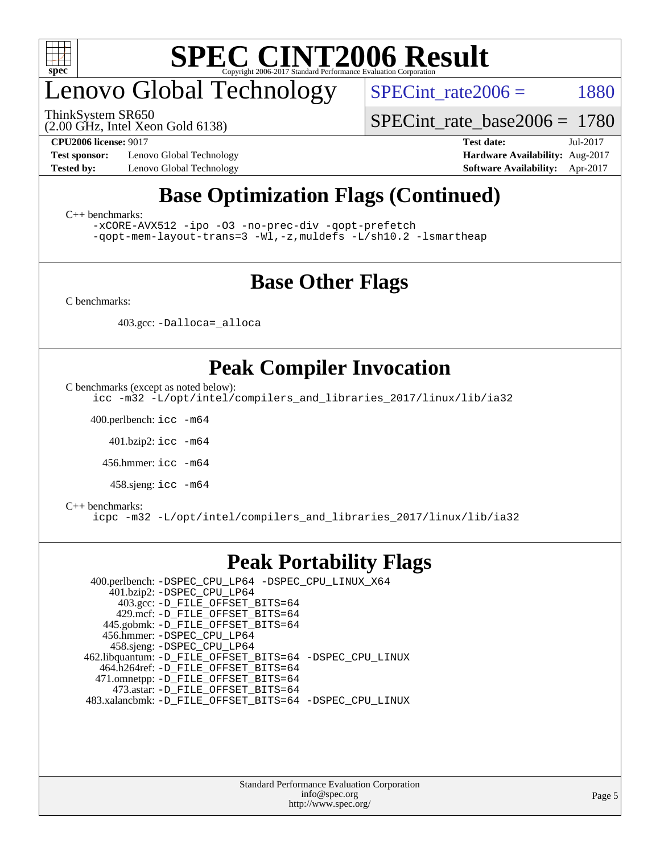

## enovo Global Technology

ThinkSystem SR650

SPECint rate $2006 =$  1880

(2.00 GHz, Intel Xeon Gold 6138)

**[Test sponsor:](http://www.spec.org/auto/cpu2006/Docs/result-fields.html#Testsponsor)** Lenovo Global Technology **[Hardware Availability:](http://www.spec.org/auto/cpu2006/Docs/result-fields.html#HardwareAvailability)** Aug-2017 **[Tested by:](http://www.spec.org/auto/cpu2006/Docs/result-fields.html#Testedby)** Lenovo Global Technology **[Software Availability:](http://www.spec.org/auto/cpu2006/Docs/result-fields.html#SoftwareAvailability)** Apr-2017

[SPECint\\_rate\\_base2006 =](http://www.spec.org/auto/cpu2006/Docs/result-fields.html#SPECintratebase2006) 1780

**[CPU2006 license:](http://www.spec.org/auto/cpu2006/Docs/result-fields.html#CPU2006license)** 9017 **[Test date:](http://www.spec.org/auto/cpu2006/Docs/result-fields.html#Testdate)** Jul-2017

### **[Base Optimization Flags \(Continued\)](http://www.spec.org/auto/cpu2006/Docs/result-fields.html#BaseOptimizationFlags)**

[C++ benchmarks:](http://www.spec.org/auto/cpu2006/Docs/result-fields.html#CXXbenchmarks)

[-xCORE-AVX512](http://www.spec.org/cpu2006/results/res2017q4/cpu2006-20170918-49748.flags.html#user_CXXbase_f-xCORE-AVX512) [-ipo](http://www.spec.org/cpu2006/results/res2017q4/cpu2006-20170918-49748.flags.html#user_CXXbase_f-ipo) [-O3](http://www.spec.org/cpu2006/results/res2017q4/cpu2006-20170918-49748.flags.html#user_CXXbase_f-O3) [-no-prec-div](http://www.spec.org/cpu2006/results/res2017q4/cpu2006-20170918-49748.flags.html#user_CXXbase_f-no-prec-div) [-qopt-prefetch](http://www.spec.org/cpu2006/results/res2017q4/cpu2006-20170918-49748.flags.html#user_CXXbase_f-qopt-prefetch) [-qopt-mem-layout-trans=3](http://www.spec.org/cpu2006/results/res2017q4/cpu2006-20170918-49748.flags.html#user_CXXbase_f-qopt-mem-layout-trans_170f5be61cd2cedc9b54468c59262d5d) [-Wl,-z,muldefs](http://www.spec.org/cpu2006/results/res2017q4/cpu2006-20170918-49748.flags.html#user_CXXbase_link_force_multiple1_74079c344b956b9658436fd1b6dd3a8a) [-L/sh10.2 -lsmartheap](http://www.spec.org/cpu2006/results/res2017q4/cpu2006-20170918-49748.flags.html#user_CXXbase_SmartHeap_b831f2d313e2fffa6dfe3f00ffc1f1c0)

### **[Base Other Flags](http://www.spec.org/auto/cpu2006/Docs/result-fields.html#BaseOtherFlags)**

[C benchmarks](http://www.spec.org/auto/cpu2006/Docs/result-fields.html#Cbenchmarks):

403.gcc: [-Dalloca=\\_alloca](http://www.spec.org/cpu2006/results/res2017q4/cpu2006-20170918-49748.flags.html#b403.gcc_baseEXTRA_CFLAGS_Dalloca_be3056838c12de2578596ca5467af7f3)

### **[Peak Compiler Invocation](http://www.spec.org/auto/cpu2006/Docs/result-fields.html#PeakCompilerInvocation)**

[C benchmarks \(except as noted below\)](http://www.spec.org/auto/cpu2006/Docs/result-fields.html#Cbenchmarksexceptasnotedbelow):

[icc -m32 -L/opt/intel/compilers\\_and\\_libraries\\_2017/linux/lib/ia32](http://www.spec.org/cpu2006/results/res2017q4/cpu2006-20170918-49748.flags.html#user_CCpeak_intel_icc_c29f3ff5a7ed067b11e4ec10a03f03ae)

400.perlbench: [icc -m64](http://www.spec.org/cpu2006/results/res2017q4/cpu2006-20170918-49748.flags.html#user_peakCCLD400_perlbench_intel_icc_64bit_bda6cc9af1fdbb0edc3795bac97ada53)

401.bzip2: [icc -m64](http://www.spec.org/cpu2006/results/res2017q4/cpu2006-20170918-49748.flags.html#user_peakCCLD401_bzip2_intel_icc_64bit_bda6cc9af1fdbb0edc3795bac97ada53)

456.hmmer: [icc -m64](http://www.spec.org/cpu2006/results/res2017q4/cpu2006-20170918-49748.flags.html#user_peakCCLD456_hmmer_intel_icc_64bit_bda6cc9af1fdbb0edc3795bac97ada53)

458.sjeng: [icc -m64](http://www.spec.org/cpu2006/results/res2017q4/cpu2006-20170918-49748.flags.html#user_peakCCLD458_sjeng_intel_icc_64bit_bda6cc9af1fdbb0edc3795bac97ada53)

#### [C++ benchmarks:](http://www.spec.org/auto/cpu2006/Docs/result-fields.html#CXXbenchmarks)

[icpc -m32 -L/opt/intel/compilers\\_and\\_libraries\\_2017/linux/lib/ia32](http://www.spec.org/cpu2006/results/res2017q4/cpu2006-20170918-49748.flags.html#user_CXXpeak_intel_icpc_8c35c7808b62dab9ae41a1aa06361b6b)

#### **[Peak Portability Flags](http://www.spec.org/auto/cpu2006/Docs/result-fields.html#PeakPortabilityFlags)**

 400.perlbench: [-DSPEC\\_CPU\\_LP64](http://www.spec.org/cpu2006/results/res2017q4/cpu2006-20170918-49748.flags.html#b400.perlbench_peakCPORTABILITY_DSPEC_CPU_LP64) [-DSPEC\\_CPU\\_LINUX\\_X64](http://www.spec.org/cpu2006/results/res2017q4/cpu2006-20170918-49748.flags.html#b400.perlbench_peakCPORTABILITY_DSPEC_CPU_LINUX_X64) 401.bzip2: [-DSPEC\\_CPU\\_LP64](http://www.spec.org/cpu2006/results/res2017q4/cpu2006-20170918-49748.flags.html#suite_peakCPORTABILITY401_bzip2_DSPEC_CPU_LP64) 403.gcc: [-D\\_FILE\\_OFFSET\\_BITS=64](http://www.spec.org/cpu2006/results/res2017q4/cpu2006-20170918-49748.flags.html#user_peakPORTABILITY403_gcc_file_offset_bits_64_438cf9856305ebd76870a2c6dc2689ab) 429.mcf: [-D\\_FILE\\_OFFSET\\_BITS=64](http://www.spec.org/cpu2006/results/res2017q4/cpu2006-20170918-49748.flags.html#user_peakPORTABILITY429_mcf_file_offset_bits_64_438cf9856305ebd76870a2c6dc2689ab) 445.gobmk: [-D\\_FILE\\_OFFSET\\_BITS=64](http://www.spec.org/cpu2006/results/res2017q4/cpu2006-20170918-49748.flags.html#user_peakPORTABILITY445_gobmk_file_offset_bits_64_438cf9856305ebd76870a2c6dc2689ab) 456.hmmer: [-DSPEC\\_CPU\\_LP64](http://www.spec.org/cpu2006/results/res2017q4/cpu2006-20170918-49748.flags.html#suite_peakCPORTABILITY456_hmmer_DSPEC_CPU_LP64) 458.sjeng: [-DSPEC\\_CPU\\_LP64](http://www.spec.org/cpu2006/results/res2017q4/cpu2006-20170918-49748.flags.html#suite_peakCPORTABILITY458_sjeng_DSPEC_CPU_LP64) 462.libquantum: [-D\\_FILE\\_OFFSET\\_BITS=64](http://www.spec.org/cpu2006/results/res2017q4/cpu2006-20170918-49748.flags.html#user_peakPORTABILITY462_libquantum_file_offset_bits_64_438cf9856305ebd76870a2c6dc2689ab) [-DSPEC\\_CPU\\_LINUX](http://www.spec.org/cpu2006/results/res2017q4/cpu2006-20170918-49748.flags.html#b462.libquantum_peakCPORTABILITY_DSPEC_CPU_LINUX) 464.h264ref: [-D\\_FILE\\_OFFSET\\_BITS=64](http://www.spec.org/cpu2006/results/res2017q4/cpu2006-20170918-49748.flags.html#user_peakPORTABILITY464_h264ref_file_offset_bits_64_438cf9856305ebd76870a2c6dc2689ab) 471.omnetpp: [-D\\_FILE\\_OFFSET\\_BITS=64](http://www.spec.org/cpu2006/results/res2017q4/cpu2006-20170918-49748.flags.html#user_peakPORTABILITY471_omnetpp_file_offset_bits_64_438cf9856305ebd76870a2c6dc2689ab) 473.astar: [-D\\_FILE\\_OFFSET\\_BITS=64](http://www.spec.org/cpu2006/results/res2017q4/cpu2006-20170918-49748.flags.html#user_peakPORTABILITY473_astar_file_offset_bits_64_438cf9856305ebd76870a2c6dc2689ab) 483.xalancbmk: [-D\\_FILE\\_OFFSET\\_BITS=64](http://www.spec.org/cpu2006/results/res2017q4/cpu2006-20170918-49748.flags.html#user_peakPORTABILITY483_xalancbmk_file_offset_bits_64_438cf9856305ebd76870a2c6dc2689ab) [-DSPEC\\_CPU\\_LINUX](http://www.spec.org/cpu2006/results/res2017q4/cpu2006-20170918-49748.flags.html#b483.xalancbmk_peakCXXPORTABILITY_DSPEC_CPU_LINUX)

> Standard Performance Evaluation Corporation [info@spec.org](mailto:info@spec.org) <http://www.spec.org/>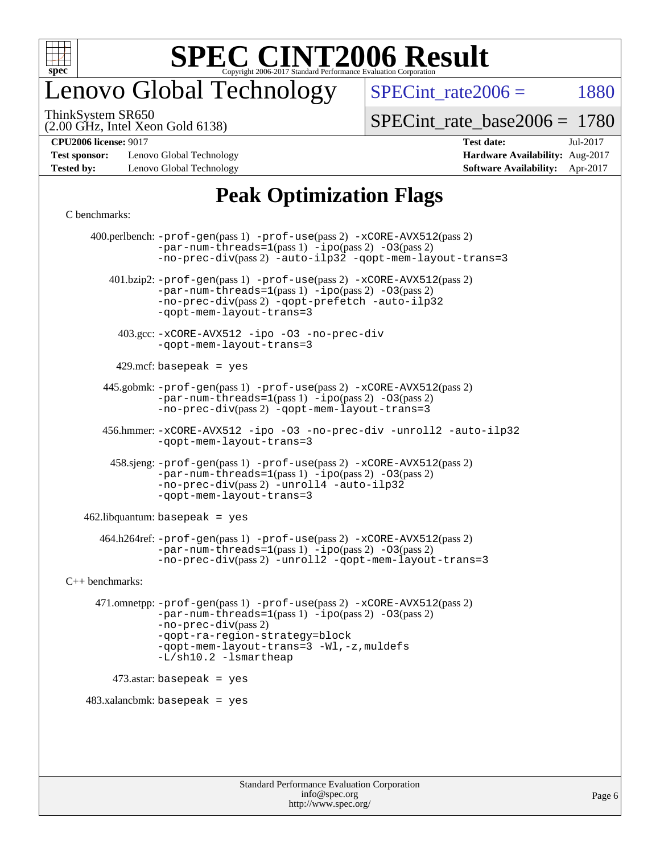

## enovo Global Technology

SPECint rate $2006 =$  1880

(2.00 GHz, Intel Xeon Gold 6138) ThinkSystem SR650

[SPECint\\_rate\\_base2006 =](http://www.spec.org/auto/cpu2006/Docs/result-fields.html#SPECintratebase2006) 1780

**[Test sponsor:](http://www.spec.org/auto/cpu2006/Docs/result-fields.html#Testsponsor)** Lenovo Global Technology **[Hardware Availability:](http://www.spec.org/auto/cpu2006/Docs/result-fields.html#HardwareAvailability)** Aug-2017 **[Tested by:](http://www.spec.org/auto/cpu2006/Docs/result-fields.html#Testedby)** Lenovo Global Technology **[Software Availability:](http://www.spec.org/auto/cpu2006/Docs/result-fields.html#SoftwareAvailability)** Apr-2017

## **[CPU2006 license:](http://www.spec.org/auto/cpu2006/Docs/result-fields.html#CPU2006license)** 9017 **[Test date:](http://www.spec.org/auto/cpu2006/Docs/result-fields.html#Testdate)** Jul-2017

### **[Peak Optimization Flags](http://www.spec.org/auto/cpu2006/Docs/result-fields.html#PeakOptimizationFlags)**

#### [C benchmarks](http://www.spec.org/auto/cpu2006/Docs/result-fields.html#Cbenchmarks):

 400.perlbench: [-prof-gen](http://www.spec.org/cpu2006/results/res2017q4/cpu2006-20170918-49748.flags.html#user_peakPASS1_CFLAGSPASS1_LDCFLAGS400_perlbench_prof_gen_e43856698f6ca7b7e442dfd80e94a8fc)(pass 1) [-prof-use](http://www.spec.org/cpu2006/results/res2017q4/cpu2006-20170918-49748.flags.html#user_peakPASS2_CFLAGSPASS2_LDCFLAGS400_perlbench_prof_use_bccf7792157ff70d64e32fe3e1250b55)(pass 2) [-xCORE-AVX512](http://www.spec.org/cpu2006/results/res2017q4/cpu2006-20170918-49748.flags.html#user_peakPASS2_CFLAGSPASS2_LDCFLAGS400_perlbench_f-xCORE-AVX512)(pass 2)  $-par-num-threads=1(pass 1) -ipo(pass 2) -O3(pass 2)$  $-par-num-threads=1(pass 1) -ipo(pass 2) -O3(pass 2)$  $-par-num-threads=1(pass 1) -ipo(pass 2) -O3(pass 2)$  $-par-num-threads=1(pass 1) -ipo(pass 2) -O3(pass 2)$  $-par-num-threads=1(pass 1) -ipo(pass 2) -O3(pass 2)$  $-par-num-threads=1(pass 1) -ipo(pass 2) -O3(pass 2)$ [-no-prec-div](http://www.spec.org/cpu2006/results/res2017q4/cpu2006-20170918-49748.flags.html#user_peakPASS2_CFLAGSPASS2_LDCFLAGS400_perlbench_f-no-prec-div)(pass 2) [-auto-ilp32](http://www.spec.org/cpu2006/results/res2017q4/cpu2006-20170918-49748.flags.html#user_peakCOPTIMIZE400_perlbench_f-auto-ilp32) [-qopt-mem-layout-trans=3](http://www.spec.org/cpu2006/results/res2017q4/cpu2006-20170918-49748.flags.html#user_peakCOPTIMIZE400_perlbench_f-qopt-mem-layout-trans_170f5be61cd2cedc9b54468c59262d5d) 401.bzip2: [-prof-gen](http://www.spec.org/cpu2006/results/res2017q4/cpu2006-20170918-49748.flags.html#user_peakPASS1_CFLAGSPASS1_LDCFLAGS401_bzip2_prof_gen_e43856698f6ca7b7e442dfd80e94a8fc)(pass 1) [-prof-use](http://www.spec.org/cpu2006/results/res2017q4/cpu2006-20170918-49748.flags.html#user_peakPASS2_CFLAGSPASS2_LDCFLAGS401_bzip2_prof_use_bccf7792157ff70d64e32fe3e1250b55)(pass 2) [-xCORE-AVX512](http://www.spec.org/cpu2006/results/res2017q4/cpu2006-20170918-49748.flags.html#user_peakPASS2_CFLAGSPASS2_LDCFLAGS401_bzip2_f-xCORE-AVX512)(pass 2) [-par-num-threads=1](http://www.spec.org/cpu2006/results/res2017q4/cpu2006-20170918-49748.flags.html#user_peakPASS1_CFLAGSPASS1_LDCFLAGS401_bzip2_par_num_threads_786a6ff141b4e9e90432e998842df6c2)(pass 1) [-ipo](http://www.spec.org/cpu2006/results/res2017q4/cpu2006-20170918-49748.flags.html#user_peakPASS2_CFLAGSPASS2_LDCFLAGS401_bzip2_f-ipo)(pass 2) [-O3](http://www.spec.org/cpu2006/results/res2017q4/cpu2006-20170918-49748.flags.html#user_peakPASS2_CFLAGSPASS2_LDCFLAGS401_bzip2_f-O3)(pass 2) [-no-prec-div](http://www.spec.org/cpu2006/results/res2017q4/cpu2006-20170918-49748.flags.html#user_peakPASS2_CFLAGSPASS2_LDCFLAGS401_bzip2_f-no-prec-div)(pass 2) [-qopt-prefetch](http://www.spec.org/cpu2006/results/res2017q4/cpu2006-20170918-49748.flags.html#user_peakCOPTIMIZE401_bzip2_f-qopt-prefetch) [-auto-ilp32](http://www.spec.org/cpu2006/results/res2017q4/cpu2006-20170918-49748.flags.html#user_peakCOPTIMIZE401_bzip2_f-auto-ilp32) [-qopt-mem-layout-trans=3](http://www.spec.org/cpu2006/results/res2017q4/cpu2006-20170918-49748.flags.html#user_peakCOPTIMIZE401_bzip2_f-qopt-mem-layout-trans_170f5be61cd2cedc9b54468c59262d5d) 403.gcc: [-xCORE-AVX512](http://www.spec.org/cpu2006/results/res2017q4/cpu2006-20170918-49748.flags.html#user_peakOPTIMIZE403_gcc_f-xCORE-AVX512) [-ipo](http://www.spec.org/cpu2006/results/res2017q4/cpu2006-20170918-49748.flags.html#user_peakOPTIMIZE403_gcc_f-ipo) [-O3](http://www.spec.org/cpu2006/results/res2017q4/cpu2006-20170918-49748.flags.html#user_peakOPTIMIZE403_gcc_f-O3) [-no-prec-div](http://www.spec.org/cpu2006/results/res2017q4/cpu2006-20170918-49748.flags.html#user_peakOPTIMIZE403_gcc_f-no-prec-div) [-qopt-mem-layout-trans=3](http://www.spec.org/cpu2006/results/res2017q4/cpu2006-20170918-49748.flags.html#user_peakCOPTIMIZE403_gcc_f-qopt-mem-layout-trans_170f5be61cd2cedc9b54468c59262d5d)  $429$ .mcf: basepeak = yes 445.gobmk: [-prof-gen](http://www.spec.org/cpu2006/results/res2017q4/cpu2006-20170918-49748.flags.html#user_peakPASS1_CFLAGSPASS1_LDCFLAGS445_gobmk_prof_gen_e43856698f6ca7b7e442dfd80e94a8fc)(pass 1) [-prof-use](http://www.spec.org/cpu2006/results/res2017q4/cpu2006-20170918-49748.flags.html#user_peakPASS2_CFLAGSPASS2_LDCFLAGSPASS2_LDFLAGS445_gobmk_prof_use_bccf7792157ff70d64e32fe3e1250b55)(pass 2) [-xCORE-AVX512](http://www.spec.org/cpu2006/results/res2017q4/cpu2006-20170918-49748.flags.html#user_peakPASS2_CFLAGSPASS2_LDCFLAGSPASS2_LDFLAGS445_gobmk_f-xCORE-AVX512)(pass 2) [-par-num-threads=1](http://www.spec.org/cpu2006/results/res2017q4/cpu2006-20170918-49748.flags.html#user_peakPASS1_CFLAGSPASS1_LDCFLAGS445_gobmk_par_num_threads_786a6ff141b4e9e90432e998842df6c2)(pass 1) [-ipo](http://www.spec.org/cpu2006/results/res2017q4/cpu2006-20170918-49748.flags.html#user_peakPASS2_LDCFLAGS445_gobmk_f-ipo)(pass 2) [-O3](http://www.spec.org/cpu2006/results/res2017q4/cpu2006-20170918-49748.flags.html#user_peakPASS2_LDCFLAGS445_gobmk_f-O3)(pass 2) [-no-prec-div](http://www.spec.org/cpu2006/results/res2017q4/cpu2006-20170918-49748.flags.html#user_peakPASS2_LDCFLAGS445_gobmk_f-no-prec-div)(pass 2) [-qopt-mem-layout-trans=3](http://www.spec.org/cpu2006/results/res2017q4/cpu2006-20170918-49748.flags.html#user_peakCOPTIMIZE445_gobmk_f-qopt-mem-layout-trans_170f5be61cd2cedc9b54468c59262d5d) 456.hmmer: [-xCORE-AVX512](http://www.spec.org/cpu2006/results/res2017q4/cpu2006-20170918-49748.flags.html#user_peakOPTIMIZE456_hmmer_f-xCORE-AVX512) [-ipo](http://www.spec.org/cpu2006/results/res2017q4/cpu2006-20170918-49748.flags.html#user_peakOPTIMIZE456_hmmer_f-ipo) [-O3](http://www.spec.org/cpu2006/results/res2017q4/cpu2006-20170918-49748.flags.html#user_peakOPTIMIZE456_hmmer_f-O3) [-no-prec-div](http://www.spec.org/cpu2006/results/res2017q4/cpu2006-20170918-49748.flags.html#user_peakOPTIMIZE456_hmmer_f-no-prec-div) [-unroll2](http://www.spec.org/cpu2006/results/res2017q4/cpu2006-20170918-49748.flags.html#user_peakCOPTIMIZE456_hmmer_f-unroll_784dae83bebfb236979b41d2422d7ec2) [-auto-ilp32](http://www.spec.org/cpu2006/results/res2017q4/cpu2006-20170918-49748.flags.html#user_peakCOPTIMIZE456_hmmer_f-auto-ilp32) [-qopt-mem-layout-trans=3](http://www.spec.org/cpu2006/results/res2017q4/cpu2006-20170918-49748.flags.html#user_peakCOPTIMIZE456_hmmer_f-qopt-mem-layout-trans_170f5be61cd2cedc9b54468c59262d5d) 458.sjeng: [-prof-gen](http://www.spec.org/cpu2006/results/res2017q4/cpu2006-20170918-49748.flags.html#user_peakPASS1_CFLAGSPASS1_LDCFLAGS458_sjeng_prof_gen_e43856698f6ca7b7e442dfd80e94a8fc)(pass 1) [-prof-use](http://www.spec.org/cpu2006/results/res2017q4/cpu2006-20170918-49748.flags.html#user_peakPASS2_CFLAGSPASS2_LDCFLAGS458_sjeng_prof_use_bccf7792157ff70d64e32fe3e1250b55)(pass 2) [-xCORE-AVX512](http://www.spec.org/cpu2006/results/res2017q4/cpu2006-20170918-49748.flags.html#user_peakPASS2_CFLAGSPASS2_LDCFLAGS458_sjeng_f-xCORE-AVX512)(pass 2) [-par-num-threads=1](http://www.spec.org/cpu2006/results/res2017q4/cpu2006-20170918-49748.flags.html#user_peakPASS1_CFLAGSPASS1_LDCFLAGS458_sjeng_par_num_threads_786a6ff141b4e9e90432e998842df6c2)(pass 1) [-ipo](http://www.spec.org/cpu2006/results/res2017q4/cpu2006-20170918-49748.flags.html#user_peakPASS2_CFLAGSPASS2_LDCFLAGS458_sjeng_f-ipo)(pass 2) [-O3](http://www.spec.org/cpu2006/results/res2017q4/cpu2006-20170918-49748.flags.html#user_peakPASS2_CFLAGSPASS2_LDCFLAGS458_sjeng_f-O3)(pass 2) [-no-prec-div](http://www.spec.org/cpu2006/results/res2017q4/cpu2006-20170918-49748.flags.html#user_peakPASS2_CFLAGSPASS2_LDCFLAGS458_sjeng_f-no-prec-div)(pass 2) [-unroll4](http://www.spec.org/cpu2006/results/res2017q4/cpu2006-20170918-49748.flags.html#user_peakCOPTIMIZE458_sjeng_f-unroll_4e5e4ed65b7fd20bdcd365bec371b81f) [-auto-ilp32](http://www.spec.org/cpu2006/results/res2017q4/cpu2006-20170918-49748.flags.html#user_peakCOPTIMIZE458_sjeng_f-auto-ilp32) [-qopt-mem-layout-trans=3](http://www.spec.org/cpu2006/results/res2017q4/cpu2006-20170918-49748.flags.html#user_peakCOPTIMIZE458_sjeng_f-qopt-mem-layout-trans_170f5be61cd2cedc9b54468c59262d5d)  $462$ .libquantum: basepeak = yes 464.h264ref: [-prof-gen](http://www.spec.org/cpu2006/results/res2017q4/cpu2006-20170918-49748.flags.html#user_peakPASS1_CFLAGSPASS1_LDCFLAGS464_h264ref_prof_gen_e43856698f6ca7b7e442dfd80e94a8fc)(pass 1) [-prof-use](http://www.spec.org/cpu2006/results/res2017q4/cpu2006-20170918-49748.flags.html#user_peakPASS2_CFLAGSPASS2_LDCFLAGS464_h264ref_prof_use_bccf7792157ff70d64e32fe3e1250b55)(pass 2) [-xCORE-AVX512](http://www.spec.org/cpu2006/results/res2017q4/cpu2006-20170918-49748.flags.html#user_peakPASS2_CFLAGSPASS2_LDCFLAGS464_h264ref_f-xCORE-AVX512)(pass 2) [-par-num-threads=1](http://www.spec.org/cpu2006/results/res2017q4/cpu2006-20170918-49748.flags.html#user_peakPASS1_CFLAGSPASS1_LDCFLAGS464_h264ref_par_num_threads_786a6ff141b4e9e90432e998842df6c2)(pass 1) [-ipo](http://www.spec.org/cpu2006/results/res2017q4/cpu2006-20170918-49748.flags.html#user_peakPASS2_CFLAGSPASS2_LDCFLAGS464_h264ref_f-ipo)(pass 2) [-O3](http://www.spec.org/cpu2006/results/res2017q4/cpu2006-20170918-49748.flags.html#user_peakPASS2_CFLAGSPASS2_LDCFLAGS464_h264ref_f-O3)(pass 2) [-no-prec-div](http://www.spec.org/cpu2006/results/res2017q4/cpu2006-20170918-49748.flags.html#user_peakPASS2_CFLAGSPASS2_LDCFLAGS464_h264ref_f-no-prec-div)(pass 2) [-unroll2](http://www.spec.org/cpu2006/results/res2017q4/cpu2006-20170918-49748.flags.html#user_peakCOPTIMIZE464_h264ref_f-unroll_784dae83bebfb236979b41d2422d7ec2) [-qopt-mem-layout-trans=3](http://www.spec.org/cpu2006/results/res2017q4/cpu2006-20170918-49748.flags.html#user_peakCOPTIMIZE464_h264ref_f-qopt-mem-layout-trans_170f5be61cd2cedc9b54468c59262d5d) [C++ benchmarks:](http://www.spec.org/auto/cpu2006/Docs/result-fields.html#CXXbenchmarks) 471.omnetpp: [-prof-gen](http://www.spec.org/cpu2006/results/res2017q4/cpu2006-20170918-49748.flags.html#user_peakPASS1_CXXFLAGSPASS1_LDCXXFLAGS471_omnetpp_prof_gen_e43856698f6ca7b7e442dfd80e94a8fc)(pass 1) [-prof-use](http://www.spec.org/cpu2006/results/res2017q4/cpu2006-20170918-49748.flags.html#user_peakPASS2_CXXFLAGSPASS2_LDCXXFLAGS471_omnetpp_prof_use_bccf7792157ff70d64e32fe3e1250b55)(pass 2) [-xCORE-AVX512](http://www.spec.org/cpu2006/results/res2017q4/cpu2006-20170918-49748.flags.html#user_peakPASS2_CXXFLAGSPASS2_LDCXXFLAGS471_omnetpp_f-xCORE-AVX512)(pass 2) [-par-num-threads=1](http://www.spec.org/cpu2006/results/res2017q4/cpu2006-20170918-49748.flags.html#user_peakPASS1_CXXFLAGSPASS1_LDCXXFLAGS471_omnetpp_par_num_threads_786a6ff141b4e9e90432e998842df6c2)(pass 1) [-ipo](http://www.spec.org/cpu2006/results/res2017q4/cpu2006-20170918-49748.flags.html#user_peakPASS2_CXXFLAGSPASS2_LDCXXFLAGS471_omnetpp_f-ipo)(pass 2) [-O3](http://www.spec.org/cpu2006/results/res2017q4/cpu2006-20170918-49748.flags.html#user_peakPASS2_CXXFLAGSPASS2_LDCXXFLAGS471_omnetpp_f-O3)(pass 2) [-no-prec-div](http://www.spec.org/cpu2006/results/res2017q4/cpu2006-20170918-49748.flags.html#user_peakPASS2_CXXFLAGSPASS2_LDCXXFLAGS471_omnetpp_f-no-prec-div)(pass 2) [-qopt-ra-region-strategy=block](http://www.spec.org/cpu2006/results/res2017q4/cpu2006-20170918-49748.flags.html#user_peakCXXOPTIMIZE471_omnetpp_f-qopt-ra-region-strategy_430aa8f7c220cbde92ae827fa8d9be32)  [-qopt-mem-layout-trans=3](http://www.spec.org/cpu2006/results/res2017q4/cpu2006-20170918-49748.flags.html#user_peakCXXOPTIMIZE471_omnetpp_f-qopt-mem-layout-trans_170f5be61cd2cedc9b54468c59262d5d) [-Wl,-z,muldefs](http://www.spec.org/cpu2006/results/res2017q4/cpu2006-20170918-49748.flags.html#user_peakEXTRA_LDFLAGS471_omnetpp_link_force_multiple1_74079c344b956b9658436fd1b6dd3a8a) [-L/sh10.2 -lsmartheap](http://www.spec.org/cpu2006/results/res2017q4/cpu2006-20170918-49748.flags.html#user_peakEXTRA_LIBS471_omnetpp_SmartHeap_b831f2d313e2fffa6dfe3f00ffc1f1c0) 473.astar: basepeak = yes  $483.xalanchmk: basepeak = yes$